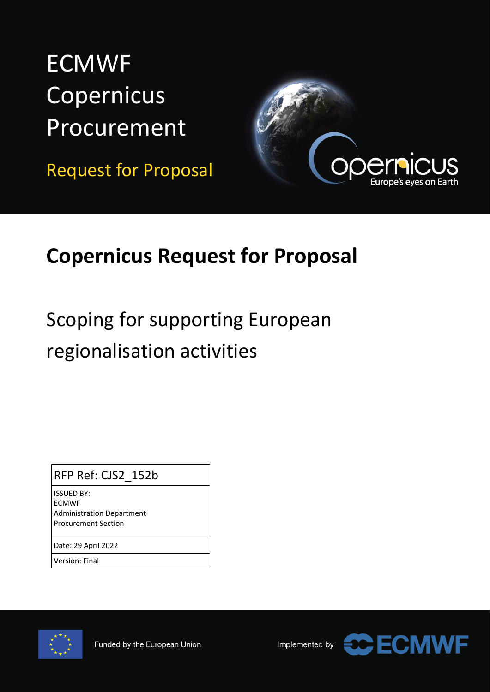# **ECMWF** Copernicus Procurement

Request for Proposal



# **Copernicus Request for Proposal**

# Scoping for supporting European regionalisation activities

## RFP Ref: CJS2\_152b

ISSUED BY: ECMWF Administration Department Procurement Section

Date: 29 April 2022

Version: Final



Implemented by

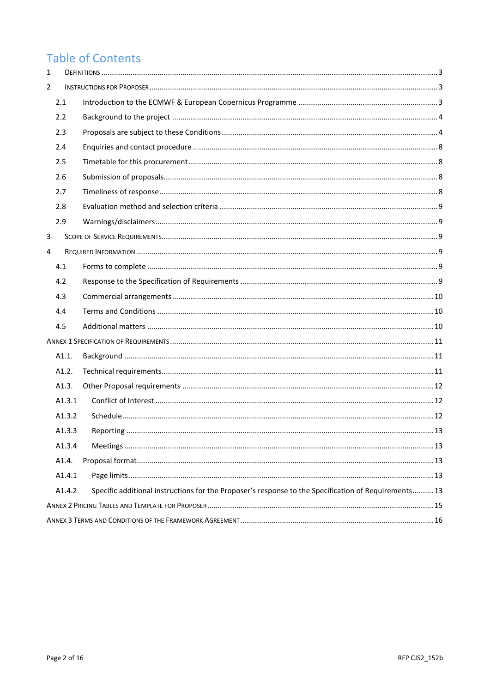# **Table of Contents**

| $\mathbf{1}$ |        |                                                                                                      |  |  |  |  |  |
|--------------|--------|------------------------------------------------------------------------------------------------------|--|--|--|--|--|
| 2            |        |                                                                                                      |  |  |  |  |  |
|              | 2.1    |                                                                                                      |  |  |  |  |  |
|              | 2.2    |                                                                                                      |  |  |  |  |  |
|              | 2.3    |                                                                                                      |  |  |  |  |  |
|              | 2.4    |                                                                                                      |  |  |  |  |  |
|              | 2.5    |                                                                                                      |  |  |  |  |  |
|              | 2.6    |                                                                                                      |  |  |  |  |  |
|              | 2.7    |                                                                                                      |  |  |  |  |  |
|              | 2.8    |                                                                                                      |  |  |  |  |  |
|              | 2.9    |                                                                                                      |  |  |  |  |  |
| 3            |        |                                                                                                      |  |  |  |  |  |
| 4            |        |                                                                                                      |  |  |  |  |  |
|              | 4.1    |                                                                                                      |  |  |  |  |  |
|              | 4.2    |                                                                                                      |  |  |  |  |  |
|              | 4.3    |                                                                                                      |  |  |  |  |  |
|              | 4.4    |                                                                                                      |  |  |  |  |  |
|              | 4.5    |                                                                                                      |  |  |  |  |  |
|              |        |                                                                                                      |  |  |  |  |  |
|              | A1.1.  |                                                                                                      |  |  |  |  |  |
|              | A1.2.  |                                                                                                      |  |  |  |  |  |
|              | A1.3.  |                                                                                                      |  |  |  |  |  |
|              | A1.3.1 |                                                                                                      |  |  |  |  |  |
|              | A1.3.2 |                                                                                                      |  |  |  |  |  |
|              | A1.3.3 |                                                                                                      |  |  |  |  |  |
|              | A1.3.4 |                                                                                                      |  |  |  |  |  |
|              | A1.4.  |                                                                                                      |  |  |  |  |  |
|              | A1.4.1 |                                                                                                      |  |  |  |  |  |
|              | A1.4.2 | Specific additional instructions for the Proposer's response to the Specification of Requirements 13 |  |  |  |  |  |
|              |        |                                                                                                      |  |  |  |  |  |
|              |        |                                                                                                      |  |  |  |  |  |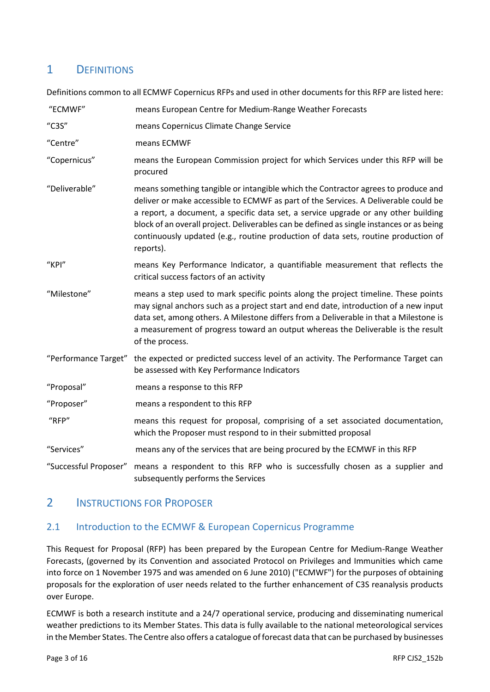## <span id="page-2-0"></span>1 DEFINITIONS

Definitions common to all ECMWF Copernicus RFPs and used in other documents for this RFP are listed here:

| "ECMWF"               | means European Centre for Medium-Range Weather Forecasts                                                                                                                                                                                                                                                                                                                                                                                                      |
|-----------------------|---------------------------------------------------------------------------------------------------------------------------------------------------------------------------------------------------------------------------------------------------------------------------------------------------------------------------------------------------------------------------------------------------------------------------------------------------------------|
| "C3S"                 | means Copernicus Climate Change Service                                                                                                                                                                                                                                                                                                                                                                                                                       |
| "Centre"              | means ECMWF                                                                                                                                                                                                                                                                                                                                                                                                                                                   |
| "Copernicus"          | means the European Commission project for which Services under this RFP will be<br>procured                                                                                                                                                                                                                                                                                                                                                                   |
| "Deliverable"         | means something tangible or intangible which the Contractor agrees to produce and<br>deliver or make accessible to ECMWF as part of the Services. A Deliverable could be<br>a report, a document, a specific data set, a service upgrade or any other building<br>block of an overall project. Deliverables can be defined as single instances or as being<br>continuously updated (e.g., routine production of data sets, routine production of<br>reports). |
| "KPI"                 | means Key Performance Indicator, a quantifiable measurement that reflects the<br>critical success factors of an activity                                                                                                                                                                                                                                                                                                                                      |
| "Milestone"           | means a step used to mark specific points along the project timeline. These points<br>may signal anchors such as a project start and end date, introduction of a new input<br>data set, among others. A Milestone differs from a Deliverable in that a Milestone is<br>a measurement of progress toward an output whereas the Deliverable is the result<br>of the process.                                                                                    |
|                       | "Performance Target" the expected or predicted success level of an activity. The Performance Target can<br>be assessed with Key Performance Indicators                                                                                                                                                                                                                                                                                                        |
| "Proposal"            | means a response to this RFP                                                                                                                                                                                                                                                                                                                                                                                                                                  |
| "Proposer"            | means a respondent to this RFP                                                                                                                                                                                                                                                                                                                                                                                                                                |
| "RFP"                 | means this request for proposal, comprising of a set associated documentation,<br>which the Proposer must respond to in their submitted proposal                                                                                                                                                                                                                                                                                                              |
| "Services"            | means any of the services that are being procured by the ECMWF in this RFP                                                                                                                                                                                                                                                                                                                                                                                    |
| "Successful Proposer" | means a respondent to this RFP who is successfully chosen as a supplier and<br>subsequently performs the Services                                                                                                                                                                                                                                                                                                                                             |

## <span id="page-2-1"></span>2 **INSTRUCTIONS FOR PROPOSER**

## <span id="page-2-2"></span>2.1 Introduction to the ECMWF & European Copernicus Programme

This Request for Proposal (RFP) has been prepared by the European Centre for Medium-Range Weather Forecasts, (governed by its Convention and associated Protocol on Privileges and Immunities which came into force on 1 November 1975 and was amended on 6 June 2010) ("ECMWF") for the purposes of obtaining proposals for the exploration of user needs related to the further enhancement of C3S reanalysis products over Europe.

ECMWF is both a research institute and a 24/7 operational service, producing and disseminating numerical weather predictions to its Member States. This data is fully available to the national meteorological services in the Member States. The Centre also offers a catalogue of forecast data that can be purchased by businesses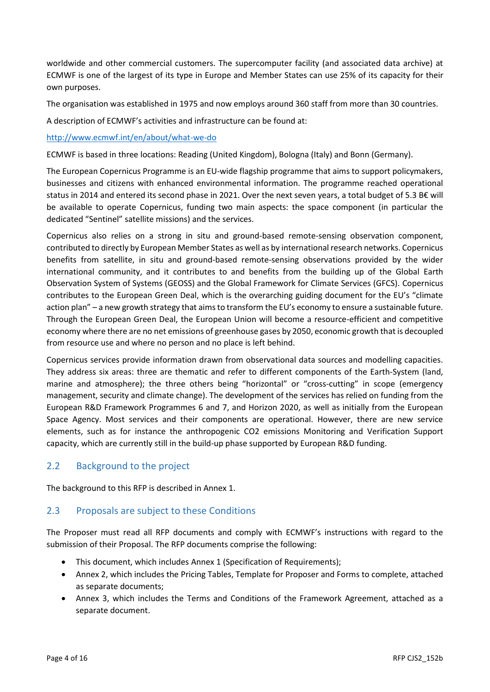worldwide and other commercial customers. The supercomputer facility (and associated data archive) at ECMWF is one of the largest of its type in Europe and Member States can use 25% of its capacity for their own purposes.

The organisation was established in 1975 and now employs around 360 staff from more than 30 countries.

A description of ECMWF's activities and infrastructure can be found at:

#### <http://www.ecmwf.int/en/about/what-we-do>

ECMWF is based in three locations: Reading (United Kingdom), Bologna (Italy) and Bonn (Germany).

The European Copernicus Programme is an EU‐wide flagship programme that aims to support policymakers, businesses and citizens with enhanced environmental information. The programme reached operational status in 2014 and entered its second phase in 2021. Over the next seven years, a total budget of 5.3 B€ will be available to operate Copernicus, funding two main aspects: the space component (in particular the dedicated "Sentinel" satellite missions) and the services.

Copernicus also relies on a strong in situ and ground‐based remote‐sensing observation component, contributed to directly by European Member States as well as by international research networks. Copernicus benefits from satellite, in situ and ground‐based remote‐sensing observations provided by the wider international community, and it contributes to and benefits from the building up of the Global Earth Observation System of Systems (GEOSS) and the Global Framework for Climate Services (GFCS). Copernicus contributes to the European Green Deal, which is the overarching guiding document for the EU's "climate action plan" – a new growth strategy that aims to transform the EU's economy to ensure a sustainable future. Through the European Green Deal, the European Union will become a resource-efficient and competitive economy where there are no net emissions of greenhouse gases by 2050, economic growth that is decoupled from resource use and where no person and no place is left behind.

Copernicus services provide information drawn from observational data sources and modelling capacities. They address six areas: three are thematic and refer to different components of the Earth‐System (land, marine and atmosphere); the three others being "horizontal" or "cross-cutting" in scope (emergency management, security and climate change). The development of the services has relied on funding from the European R&D Framework Programmes 6 and 7, and Horizon 2020, as well as initially from the European Space Agency. Most services and their components are operational. However, there are new service elements, such as for instance the anthropogenic CO2 emissions Monitoring and Verification Support capacity, which are currently still in the build‐up phase supported by European R&D funding.

#### <span id="page-3-0"></span>2.2 Background to the project

The background to this RFP is described in Annex 1.

## <span id="page-3-1"></span>2.3 Proposals are subject to these Conditions

The Proposer must read all RFP documents and comply with ECMWF's instructions with regard to the submission of their Proposal. The RFP documents comprise the following:

- This document, which includes Annex 1 (Specification of Requirements);
- Annex 2, which includes the Pricing Tables, Template for Proposer and Forms to complete, attached as separate documents;
- Annex 3, which includes the Terms and Conditions of the Framework Agreement, attached as a separate document.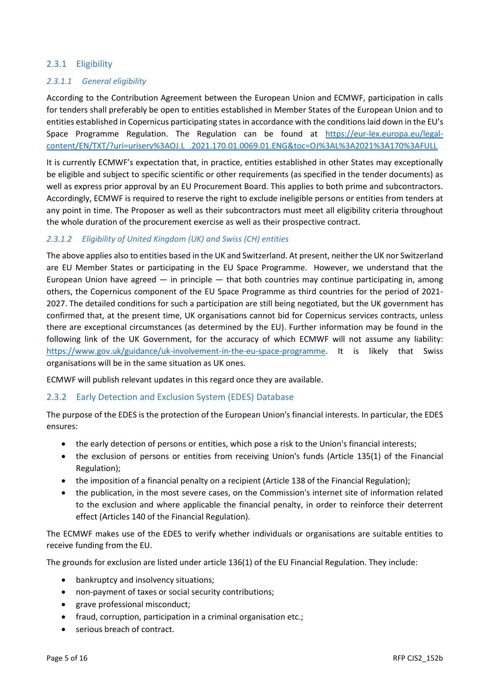#### 2.3.1 Eligibility

#### *2.3.1.1 General eligibility*

According to the Contribution Agreement between the European Union and ECMWF, participation in calls for tenders shall preferably be open to entities established in Member States of the European Union and to entities established in Copernicus participating states in accordance with the conditions laid down in the EU's Space Programme Regulation. The Regulation can be found at [https://eur-lex.europa.eu/legal](https://eur-lex.europa.eu/legal-content/EN/TXT/?uri=uriserv%3AOJ.L_.2021.170.01.0069.01.ENG&toc=OJ%3AL%3A2021%3A170%3AFULL)[content/EN/TXT/?uri=uriserv%3AOJ.L\\_.2021.170.01.0069.01.ENG&toc=OJ%3AL%3A2021%3A170%3AFULL](https://eur-lex.europa.eu/legal-content/EN/TXT/?uri=uriserv%3AOJ.L_.2021.170.01.0069.01.ENG&toc=OJ%3AL%3A2021%3A170%3AFULL)

It is currently ECMWF's expectation that, in practice, entities established in other States may exceptionally be eligible and subject to specific scientific or other requirements (as specified in the tender documents) as well as express prior approval by an EU Procurement Board. This applies to both prime and subcontractors. Accordingly, ECMWF is required to reserve the right to exclude ineligible persons or entities from tenders at any point in time. The Proposer as well as their subcontractors must meet all eligibility criteria throughout the whole duration of the procurement exercise as well as their prospective contract.

#### *2.3.1.2 Eligibility of United Kingdom (UK) and Swiss (CH) entities*

The above applies also to entities based in the UK and Switzerland. At present, neither the UK nor Switzerland are EU Member States or participating in the EU Space Programme. However, we understand that the European Union have agreed  $-$  in principle  $-$  that both countries may continue participating in, among others, the Copernicus component of the EU Space Programme as third countries for the period of 2021- 2027. The detailed conditions for such a participation are still being negotiated, but the UK government has confirmed that, at the present time, UK organisations cannot bid for Copernicus services contracts, unless there are exceptional circumstances (as determined by the EU). Further information may be found in the following link of the UK Government, for the accuracy of which ECMWF will not assume any liability: [https://www.gov.uk/guidance/uk-involvement-in-the-eu-space-programme.](https://www.gov.uk/guidance/uk-involvement-in-the-eu-space-programme) It is likely that Swiss organisations will be in the same situation as UK ones.

ECMWF will publish relevant updates in this regard once they are available.

#### 2.3.2 Early Detection and Exclusion System (EDES) Database

The purpose of the EDES is the protection of the European Union's financial interests. In particular, the EDES ensures:

- the early detection of persons or entities, which pose a risk to the Union's financial interests;
- the exclusion of persons or entities from receiving Union's funds (Article 135(1) of the Financial Regulation);
- the imposition of a financial penalty on a recipient (Article 138 of the Financial Regulation);
- the publication, in the most severe cases, on the Commission's internet site of information related to the exclusion and where applicable the financial penalty, in order to reinforce their deterrent effect (Articles 140 of the Financial Regulation).

The ECMWF makes use of the EDES to verify whether individuals or organisations are suitable entities to receive funding from the EU.

The grounds for exclusion are listed under article 136(1) of the EU Financial Regulation. They include:

- bankruptcy and insolvency situations;
- non-payment of taxes or social security contributions;
- grave professional misconduct;
- fraud, corruption, participation in a criminal organisation etc.;
- serious breach of contract.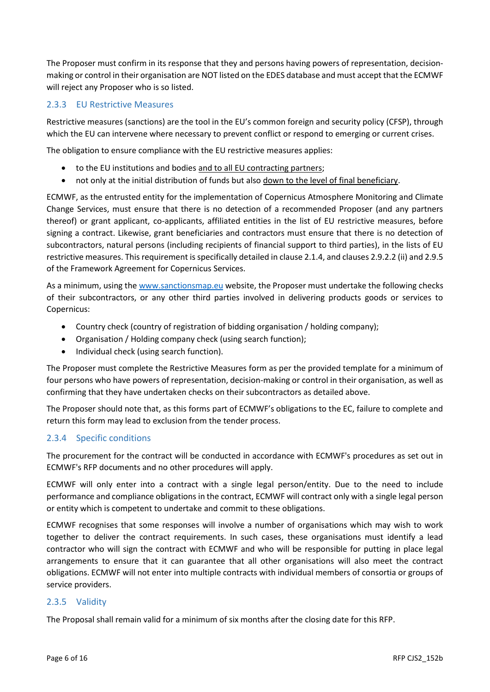The Proposer must confirm in its response that they and persons having powers of representation, decisionmaking or control in their organisation are NOT listed on the EDES database and must accept that the ECMWF will reject any Proposer who is so listed.

#### 2.3.3 EU Restrictive Measures

Restrictive measures (sanctions) are the tool in the EU's common foreign and security policy (CFSP), through which the EU can intervene where necessary to prevent conflict or respond to emerging or current crises.

The obligation to ensure compliance with the EU restrictive measures applies:

- to the EU institutions and bodies and to all EU contracting partners;
- not only at the initial distribution of funds but also down to the level of final beneficiary.

ECMWF, as the entrusted entity for the implementation of Copernicus Atmosphere Monitoring and Climate Change Services, must ensure that there is no detection of a recommended Proposer (and any partners thereof) or grant applicant, co-applicants, affiliated entities in the list of EU restrictive measures, before signing a contract. Likewise, grant beneficiaries and contractors must ensure that there is no detection of subcontractors, natural persons (including recipients of financial support to third parties), in the lists of EU restrictive measures. This requirement is specifically detailed in clause 2.1.4, and clauses 2.9.2.2 (ii) and 2.9.5 of the Framework Agreement for Copernicus Services.

As a minimum, using the [www.sanctionsmap.eu](http://www.sanctionsmap.eu/) website, the Proposer must undertake the following checks of their subcontractors, or any other third parties involved in delivering products goods or services to Copernicus:

- Country check (country of registration of bidding organisation / holding company);
- Organisation / Holding company check (using search function);
- Individual check (using search function).

The Proposer must complete the Restrictive Measures form as per the provided template for a minimum of four persons who have powers of representation, decision-making or control in their organisation, as well as confirming that they have undertaken checks on their subcontractors as detailed above.

The Proposer should note that, as this forms part of ECMWF's obligations to the EC, failure to complete and return this form may lead to exclusion from the tender process.

#### 2.3.4 Specific conditions

The procurement for the contract will be conducted in accordance with ECMWF's procedures as set out in ECMWF's RFP documents and no other procedures will apply.

ECMWF will only enter into a contract with a single legal person/entity. Due to the need to include performance and compliance obligations in the contract, ECMWF will contract only with a single legal person or entity which is competent to undertake and commit to these obligations.

ECMWF recognises that some responses will involve a number of organisations which may wish to work together to deliver the contract requirements. In such cases, these organisations must identify a lead contractor who will sign the contract with ECMWF and who will be responsible for putting in place legal arrangements to ensure that it can guarantee that all other organisations will also meet the contract obligations. ECMWF will not enter into multiple contracts with individual members of consortia or groups of service providers.

#### 2.3.5 Validity

The Proposal shall remain valid for a minimum of six months after the closing date for this RFP.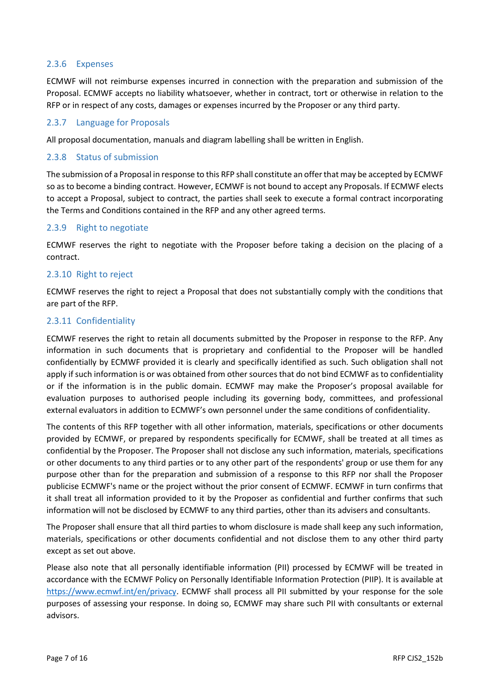#### 2.3.6 Expenses

ECMWF will not reimburse expenses incurred in connection with the preparation and submission of the Proposal. ECMWF accepts no liability whatsoever, whether in contract, tort or otherwise in relation to the RFP or in respect of any costs, damages or expenses incurred by the Proposer or any third party.

#### 2.3.7 Language for Proposals

All proposal documentation, manuals and diagram labelling shall be written in English.

#### 2.3.8 Status of submission

The submission of a Proposal in response to this RFP shall constitute an offer that may be accepted by ECMWF so as to become a binding contract. However, ECMWF is not bound to accept any Proposals. If ECMWF elects to accept a Proposal, subject to contract, the parties shall seek to execute a formal contract incorporating the Terms and Conditions contained in the RFP and any other agreed terms.

#### 2.3.9 Right to negotiate

ECMWF reserves the right to negotiate with the Proposer before taking a decision on the placing of a contract.

#### 2.3.10 Right to reject

ECMWF reserves the right to reject a Proposal that does not substantially comply with the conditions that are part of the RFP.

#### 2.3.11 Confidentiality

ECMWF reserves the right to retain all documents submitted by the Proposer in response to the RFP. Any information in such documents that is proprietary and confidential to the Proposer will be handled confidentially by ECMWF provided it is clearly and specifically identified as such. Such obligation shall not apply if such information is or was obtained from other sources that do not bind ECMWF as to confidentiality or if the information is in the public domain. ECMWF may make the Proposer's proposal available for evaluation purposes to authorised people including its governing body, committees, and professional external evaluators in addition to ECMWF's own personnel under the same conditions of confidentiality.

The contents of this RFP together with all other information, materials, specifications or other documents provided by ECMWF, or prepared by respondents specifically for ECMWF, shall be treated at all times as confidential by the Proposer. The Proposer shall not disclose any such information, materials, specifications or other documents to any third parties or to any other part of the respondents' group or use them for any purpose other than for the preparation and submission of a response to this RFP nor shall the Proposer publicise ECMWF's name or the project without the prior consent of ECMWF. ECMWF in turn confirms that it shall treat all information provided to it by the Proposer as confidential and further confirms that such information will not be disclosed by ECMWF to any third parties, other than its advisers and consultants.

The Proposer shall ensure that all third parties to whom disclosure is made shall keep any such information, materials, specifications or other documents confidential and not disclose them to any other third party except as set out above.

Please also note that all personally identifiable information (PII) processed by ECMWF will be treated in accordance with the ECMWF Policy on Personally Identifiable Information Protection (PIIP). It is available at [https://www.ecmwf.int/en/privacy.](https://www.ecmwf.int/en/privacy) ECMWF shall process all PII submitted by your response for the sole purposes of assessing your response. In doing so, ECMWF may share such PII with consultants or external advisors.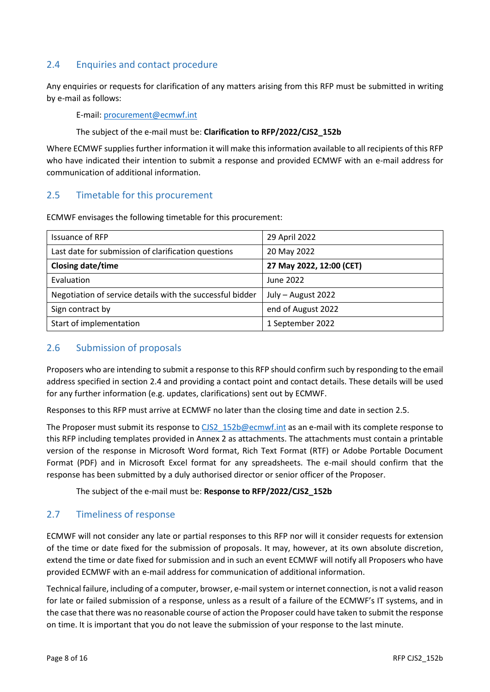## <span id="page-7-4"></span><span id="page-7-0"></span>2.4 Enquiries and contact procedure

Any enquiries or requests for clarification of any matters arising from this RFP must be submitted in writing by e-mail as follows:

E-mail: [procurement@ecmwf.int](mailto:procurement@ecmwf.int)

#### The subject of the e-mail must be: **Clarification to RFP/2022/CJS2\_152b**

Where ECMWF supplies further information it will make this information available to all recipients of this RFP who have indicated their intention to submit a response and provided ECMWF with an e-mail address for communication of additional information.

## <span id="page-7-5"></span><span id="page-7-1"></span>2.5 Timetable for this procurement

ECMWF envisages the following timetable for this procurement:

| Issuance of RFP                                           | 29 April 2022            |
|-----------------------------------------------------------|--------------------------|
| Last date for submission of clarification questions       | 20 May 2022              |
| <b>Closing date/time</b>                                  | 27 May 2022, 12:00 (CET) |
| Evaluation                                                | June 2022                |
| Negotiation of service details with the successful bidder | July - August 2022       |
| Sign contract by                                          | end of August 2022       |
| Start of implementation                                   | 1 September 2022         |

## <span id="page-7-2"></span>2.6 Submission of proposals

Proposers who are intending to submit a response to this RFP should confirm such by responding to the email address specified in section [2.4](#page-7-4) and providing a contact point and contact details. These details will be used for any further information (e.g. updates, clarifications) sent out by ECMWF.

Responses to this RFP must arrive at ECMWF no later than the closing time and date in sectio[n 2.5.](#page-7-5)

The Proposer must submit its response to [CJS2\\_152b@ecmwf.int](mailto:CJS2_152b@ecmwf.int) as an e-mail with its complete response to this RFP including templates provided in Annex 2 as attachments. The attachments must contain a printable version of the response in Microsoft Word format, Rich Text Format (RTF) or Adobe Portable Document Format (PDF) and in Microsoft Excel format for any spreadsheets. The e-mail should confirm that the response has been submitted by a duly authorised director or senior officer of the Proposer.

The subject of the e-mail must be: **Response to RFP/2022/CJS2\_152b**

## <span id="page-7-3"></span>2.7 Timeliness of response

ECMWF will not consider any late or partial responses to this RFP nor will it consider requests for extension of the time or date fixed for the submission of proposals. It may, however, at its own absolute discretion, extend the time or date fixed for submission and in such an event ECMWF will notify all Proposers who have provided ECMWF with an e-mail address for communication of additional information.

Technical failure, including of a computer, browser, e-mail system or internet connection, is not a valid reason for late or failed submission of a response, unless as a result of a failure of the ECMWF's IT systems, and in the case that there was no reasonable course of action the Proposer could have taken to submit the response on time. It is important that you do not leave the submission of your response to the last minute.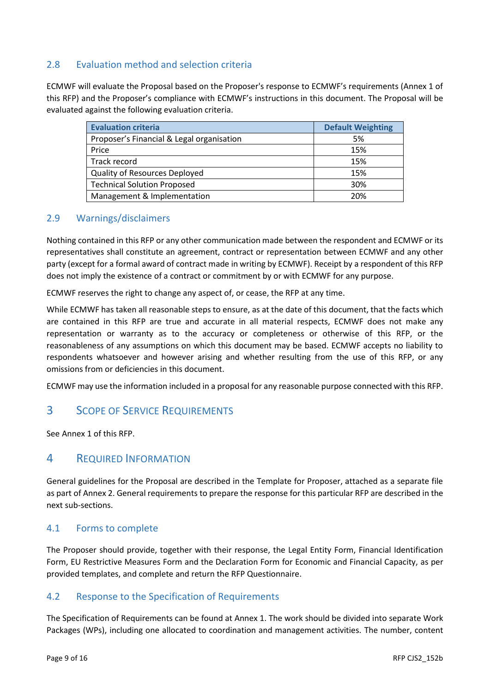## <span id="page-8-0"></span>2.8 Evaluation method and selection criteria

ECMWF will evaluate the Proposal based on the Proposer's response to ECMWF's requirements (Annex 1 of this RFP) and the Proposer's compliance with ECMWF's instructions in this document. The Proposal will be evaluated against the following evaluation criteria.

| <b>Evaluation criteria</b>                | <b>Default Weighting</b> |
|-------------------------------------------|--------------------------|
| Proposer's Financial & Legal organisation | 5%                       |
| Price                                     | 15%                      |
| Track record                              | 15%                      |
| <b>Quality of Resources Deployed</b>      | 15%                      |
| <b>Technical Solution Proposed</b>        | 30%                      |
| Management & Implementation               | 20%                      |

### <span id="page-8-1"></span>2.9 Warnings/disclaimers

Nothing contained in this RFP or any other communication made between the respondent and ECMWF or its representatives shall constitute an agreement, contract or representation between ECMWF and any other party (except for a formal award of contract made in writing by ECMWF). Receipt by a respondent of this RFP does not imply the existence of a contract or commitment by or with ECMWF for any purpose.

ECMWF reserves the right to change any aspect of, or cease, the RFP at any time.

While ECMWF has taken all reasonable steps to ensure, as at the date of this document, that the facts which are contained in this RFP are true and accurate in all material respects, ECMWF does not make any representation or warranty as to the accuracy or completeness or otherwise of this RFP, or the reasonableness of any assumptions on which this document may be based. ECMWF accepts no liability to respondents whatsoever and however arising and whether resulting from the use of this RFP, or any omissions from or deficiencies in this document.

ECMWF may use the information included in a proposal for any reasonable purpose connected with this RFP.

## <span id="page-8-2"></span>3 SCOPE OF SERVICE REQUIREMENTS

See Annex 1 of this RFP.

## <span id="page-8-3"></span>4 REQUIRED INFORMATION

General guidelines for the Proposal are described in the Template for Proposer, attached as a separate file as part of Annex 2. General requirements to prepare the response for this particular RFP are described in the next sub-sections.

#### <span id="page-8-4"></span>4.1 Forms to complete

The Proposer should provide, together with their response, the Legal Entity Form, Financial Identification Form, EU Restrictive Measures Form and the Declaration Form for Economic and Financial Capacity, as per provided templates, and complete and return the RFP Questionnaire.

#### <span id="page-8-5"></span>4.2 Response to the Specification of Requirements

The Specification of Requirements can be found at Annex 1. The work should be divided into separate Work Packages (WPs), including one allocated to coordination and management activities. The number, content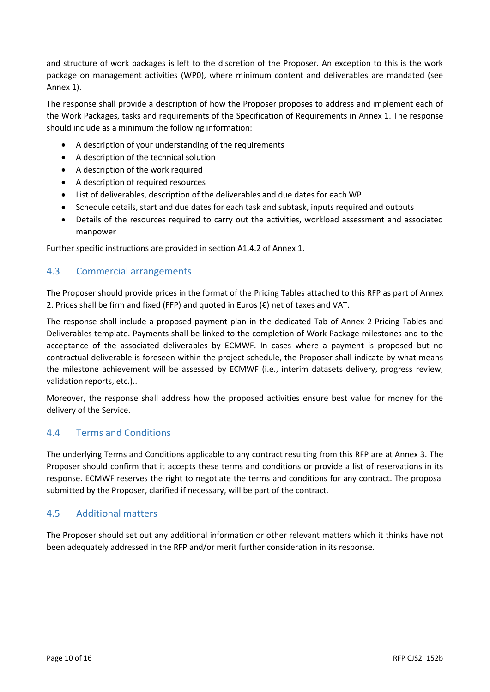and structure of work packages is left to the discretion of the Proposer. An exception to this is the work package on management activities (WP0), where minimum content and deliverables are mandated (see Annex 1).

The response shall provide a description of how the Proposer proposes to address and implement each of the Work Packages, tasks and requirements of the Specification of Requirements in Annex 1. The response should include as a minimum the following information:

- A description of your understanding of the requirements
- A description of the technical solution
- A description of the work required
- A description of required resources
- List of deliverables, description of the deliverables and due dates for each WP
- Schedule details, start and due dates for each task and subtask, inputs required and outputs
- Details of the resources required to carry out the activities, workload assessment and associated manpower

Further specific instructions are provided in section A1.4.2 of Annex 1.

## <span id="page-9-0"></span>4.3 Commercial arrangements

The Proposer should provide prices in the format of the Pricing Tables attached to this RFP as part of Annex 2. Prices shall be firm and fixed (FFP) and quoted in Euros  $(€)$  net of taxes and VAT.

The response shall include a proposed payment plan in the dedicated Tab of Annex 2 Pricing Tables and Deliverables template. Payments shall be linked to the completion of Work Package milestones and to the acceptance of the associated deliverables by ECMWF. In cases where a payment is proposed but no contractual deliverable is foreseen within the project schedule, the Proposer shall indicate by what means the milestone achievement will be assessed by ECMWF (i.e., interim datasets delivery, progress review, validation reports, etc.)..

Moreover, the response shall address how the proposed activities ensure best value for money for the delivery of the Service.

## <span id="page-9-1"></span>4.4 Terms and Conditions

The underlying Terms and Conditions applicable to any contract resulting from this RFP are at Annex 3. The Proposer should confirm that it accepts these terms and conditions or provide a list of reservations in its response. ECMWF reserves the right to negotiate the terms and conditions for any contract. The proposal submitted by the Proposer, clarified if necessary, will be part of the contract.

## <span id="page-9-2"></span>4.5 Additional matters

The Proposer should set out any additional information or other relevant matters which it thinks have not been adequately addressed in the RFP and/or merit further consideration in its response.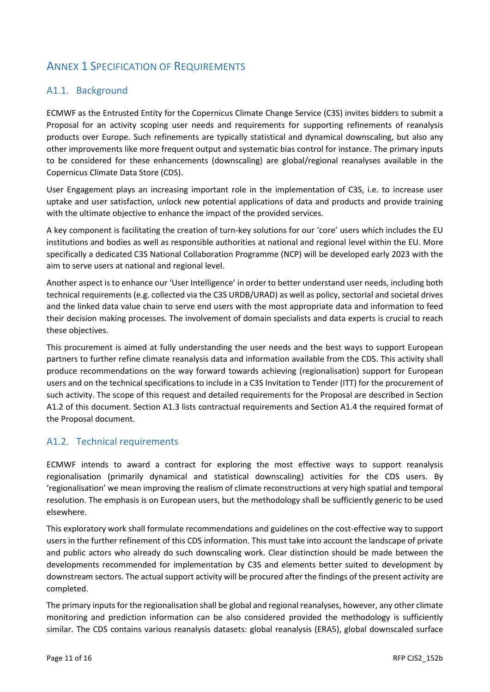## <span id="page-10-0"></span>ANNEX 1 SPECIFICATION OF REQUIREMENTS

## <span id="page-10-1"></span>A1.1. Background

ECMWF as the Entrusted Entity for the Copernicus Climate Change Service (C3S) invites bidders to submit a Proposal for an activity scoping user needs and requirements for supporting refinements of reanalysis products over Europe. Such refinements are typically statistical and dynamical downscaling, but also any other improvements like more frequent output and systematic bias control for instance. The primary inputs to be considered for these enhancements (downscaling) are global/regional reanalyses available in the Copernicus Climate Data Store (CDS).

User Engagement plays an increasing important role in the implementation of C3S, i.e. to increase user uptake and user satisfaction, unlock new potential applications of data and products and provide training with the ultimate objective to enhance the impact of the provided services.

A key component is facilitating the creation of turn-key solutions for our 'core' users which includes the EU institutions and bodies as well as responsible authorities at national and regional level within the EU. More specifically a dedicated C3S National Collaboration Programme (NCP) will be developed early 2023 with the aim to serve users at national and regional level.

Another aspect is to enhance our 'User Intelligence' in order to better understand user needs, including both technical requirements (e.g. collected via the C3S URDB/URAD) as well as policy, sectorial and societal drives and the linked data value chain to serve end users with the most appropriate data and information to feed their decision making processes. The involvement of domain specialists and data experts is crucial to reach these objectives.

This procurement is aimed at fully understanding the user needs and the best ways to support European partners to further refine climate reanalysis data and information available from the CDS. This activity shall produce recommendations on the way forward towards achieving (regionalisation) support for European users and on the technical specifications to include in a C3S Invitation to Tender (ITT) for the procurement of such activity. The scope of this request and detailed requirements for the Proposal are described in Section A1.2 of this document. Section A1.3 lists contractual requirements and Section A1.4 the required format of the Proposal document.

## <span id="page-10-2"></span>A1.2. Technical requirements

ECMWF intends to award a contract for exploring the most effective ways to support reanalysis regionalisation (primarily dynamical and statistical downscaling) activities for the CDS users. By 'regionalisation' we mean improving the realism of climate reconstructions at very high spatial and temporal resolution. The emphasis is on European users, but the methodology shall be sufficiently generic to be used elsewhere.

This exploratory work shall formulate recommendations and guidelines on the cost-effective way to support users in the further refinement of this CDS information. This must take into account the landscape of private and public actors who already do such downscaling work. Clear distinction should be made between the developments recommended for implementation by C3S and elements better suited to development by downstream sectors. The actual support activity will be procured after the findings of the present activity are completed.

The primary inputs for the regionalisation shall be global and regional reanalyses, however, any other climate monitoring and prediction information can be also considered provided the methodology is sufficiently similar. The CDS contains various reanalysis datasets: global reanalysis (ERA5), global downscaled surface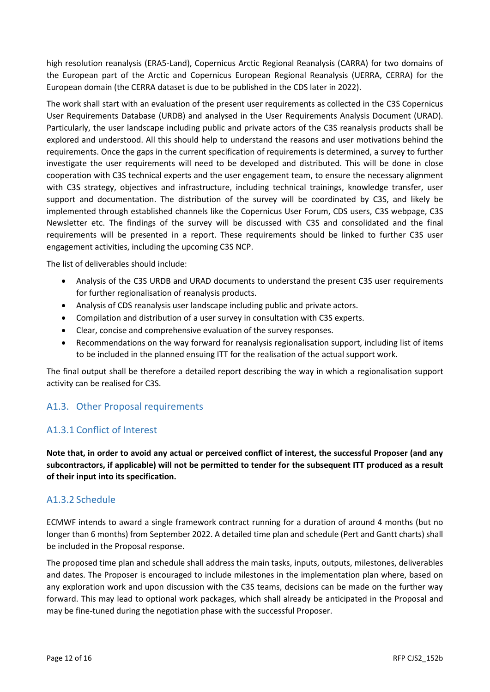high resolution reanalysis (ERA5-Land), Copernicus Arctic Regional Reanalysis (CARRA) for two domains of the European part of the Arctic and Copernicus European Regional Reanalysis (UERRA, CERRA) for the European domain (the CERRA dataset is due to be published in the CDS later in 2022).

The work shall start with an evaluation of the present user requirements as collected in the C3S Copernicus User Requirements Database (URDB) and analysed in the User Requirements Analysis Document (URAD). Particularly, the user landscape including public and private actors of the C3S reanalysis products shall be explored and understood. All this should help to understand the reasons and user motivations behind the requirements. Once the gaps in the current specification of requirements is determined, a survey to further investigate the user requirements will need to be developed and distributed. This will be done in close cooperation with C3S technical experts and the user engagement team, to ensure the necessary alignment with C3S strategy, objectives and infrastructure, including technical trainings, knowledge transfer, user support and documentation. The distribution of the survey will be coordinated by C3S, and likely be implemented through established channels like the Copernicus User Forum, CDS users, C3S webpage, C3S Newsletter etc. The findings of the survey will be discussed with C3S and consolidated and the final requirements will be presented in a report. These requirements should be linked to further C3S user engagement activities, including the upcoming C3S NCP.

The list of deliverables should include:

- Analysis of the C3S URDB and URAD documents to understand the present C3S user requirements for further regionalisation of reanalysis products.
- Analysis of CDS reanalysis user landscape including public and private actors.
- Compilation and distribution of a user survey in consultation with C3S experts.
- Clear, concise and comprehensive evaluation of the survey responses.
- Recommendations on the way forward for reanalysis regionalisation support, including list of items to be included in the planned ensuing ITT for the realisation of the actual support work.

The final output shall be therefore a detailed report describing the way in which a regionalisation support activity can be realised for C3S.

## <span id="page-11-0"></span>A1.3. Other Proposal requirements

## <span id="page-11-1"></span>A1.3.1 Conflict of Interest

**Note that, in order to avoid any actual or perceived conflict of interest, the successful Proposer (and any subcontractors, if applicable) will not be permitted to tender for the subsequent ITT produced as a result of their input into its specification.**

#### <span id="page-11-2"></span>A1.3.2 Schedule

ECMWF intends to award a single framework contract running for a duration of around 4 months (but no longer than 6 months) from September 2022. A detailed time plan and schedule (Pert and Gantt charts) shall be included in the Proposal response.

The proposed time plan and schedule shall address the main tasks, inputs, outputs, milestones, deliverables and dates. The Proposer is encouraged to include milestones in the implementation plan where, based on any exploration work and upon discussion with the C3S teams, decisions can be made on the further way forward. This may lead to optional work packages, which shall already be anticipated in the Proposal and may be fine-tuned during the negotiation phase with the successful Proposer.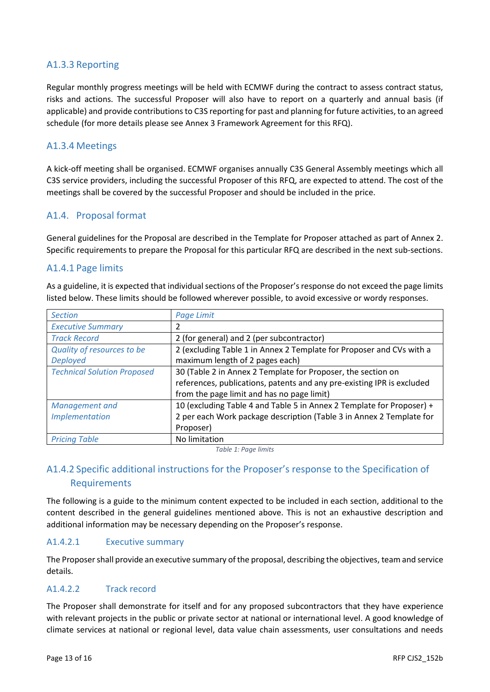## <span id="page-12-0"></span>A1.3.3 Reporting

Regular monthly progress meetings will be held with ECMWF during the contract to assess contract status, risks and actions. The successful Proposer will also have to report on a quarterly and annual basis (if applicable) and provide contributions to C3S reporting for past and planning for future activities, to an agreed schedule (for more details please see Annex 3 Framework Agreement for this RFQ).

## <span id="page-12-1"></span>A1.3.4 Meetings

A kick-off meeting shall be organised. ECMWF organises annually C3S General Assembly meetings which all C3S service providers, including the successful Proposer of this RFQ, are expected to attend. The cost of the meetings shall be covered by the successful Proposer and should be included in the price.

## <span id="page-12-2"></span>A1.4. Proposal format

General guidelines for the Proposal are described in the Template for Proposer attached as part of Annex 2. Specific requirements to prepare the Proposal for this particular RFQ are described in the next sub-sections.

#### <span id="page-12-3"></span>A1.4.1 Page limits

As a guideline, it is expected that individual sections of the Proposer's response do not exceed the page limits listed below. These limits should be followed wherever possible, to avoid excessive or wordy responses.

| <b>Section</b>                     | Page Limit                                                             |
|------------------------------------|------------------------------------------------------------------------|
| <b>Executive Summary</b>           | 2                                                                      |
| <b>Track Record</b>                | 2 (for general) and 2 (per subcontractor)                              |
| Quality of resources to be         | 2 (excluding Table 1 in Annex 2 Template for Proposer and CVs with a   |
| <b>Deployed</b>                    | maximum length of 2 pages each)                                        |
| <b>Technical Solution Proposed</b> | 30 (Table 2 in Annex 2 Template for Proposer, the section on           |
|                                    | references, publications, patents and any pre-existing IPR is excluded |
|                                    | from the page limit and has no page limit)                             |
| Management and                     | 10 (excluding Table 4 and Table 5 in Annex 2 Template for Proposer) +  |
| <b>Implementation</b>              | 2 per each Work package description (Table 3 in Annex 2 Template for   |
|                                    | Proposer)                                                              |
| <b>Pricing Table</b>               | No limitation                                                          |

*Table 1: Page limits*

## <span id="page-12-4"></span>A1.4.2 Specific additional instructions for the Proposer's response to the Specification of **Requirements**

The following is a guide to the minimum content expected to be included in each section, additional to the content described in the general guidelines mentioned above. This is not an exhaustive description and additional information may be necessary depending on the Proposer's response.

#### A1.4.2.1 Executive summary

The Proposer shall provide an executive summary of the proposal, describing the objectives, team and service details.

#### A1.4.2.2 Track record

The Proposer shall demonstrate for itself and for any proposed subcontractors that they have experience with relevant projects in the public or private sector at national or international level. A good knowledge of climate services at national or regional level, data value chain assessments, user consultations and needs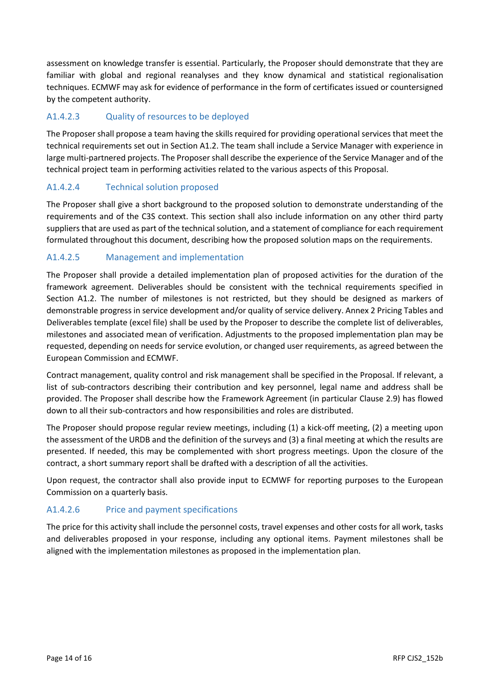assessment on knowledge transfer is essential. Particularly, the Proposer should demonstrate that they are familiar with global and regional reanalyses and they know dynamical and statistical regionalisation techniques. ECMWF may ask for evidence of performance in the form of certificates issued or countersigned by the competent authority.

## A1.4.2.3 Quality of resources to be deployed

The Proposer shall propose a team having the skills required for providing operational services that meet the technical requirements set out in Section A1.2. The team shall include a Service Manager with experience in large multi-partnered projects. The Proposer shall describe the experience of the Service Manager and of the technical project team in performing activities related to the various aspects of this Proposal.

#### A1.4.2.4 Technical solution proposed

The Proposer shall give a short background to the proposed solution to demonstrate understanding of the requirements and of the C3S context. This section shall also include information on any other third party suppliers that are used as part of the technical solution, and a statement of compliance for each requirement formulated throughout this document, describing how the proposed solution maps on the requirements.

### A1.4.2.5 Management and implementation

The Proposer shall provide a detailed implementation plan of proposed activities for the duration of the framework agreement. Deliverables should be consistent with the technical requirements specified in Section A1.2. The number of milestones is not restricted, but they should be designed as markers of demonstrable progress in service development and/or quality of service delivery. Annex 2 Pricing Tables and Deliverables template (excel file) shall be used by the Proposer to describe the complete list of deliverables, milestones and associated mean of verification. Adjustments to the proposed implementation plan may be requested, depending on needs for service evolution, or changed user requirements, as agreed between the European Commission and ECMWF.

Contract management, quality control and risk management shall be specified in the Proposal. If relevant, a list of sub-contractors describing their contribution and key personnel, legal name and address shall be provided. The Proposer shall describe how the Framework Agreement (in particular Clause 2.9) has flowed down to all their sub-contractors and how responsibilities and roles are distributed.

The Proposer should propose regular review meetings, including (1) a kick-off meeting, (2) a meeting upon the assessment of the URDB and the definition of the surveys and (3) a final meeting at which the results are presented. If needed, this may be complemented with short progress meetings. Upon the closure of the contract, a short summary report shall be drafted with a description of all the activities.

Upon request, the contractor shall also provide input to ECMWF for reporting purposes to the European Commission on a quarterly basis.

#### A1.4.2.6 Price and payment specifications

The price for this activity shall include the personnel costs, travel expenses and other costs for all work, tasks and deliverables proposed in your response, including any optional items. Payment milestones shall be aligned with the implementation milestones as proposed in the implementation plan.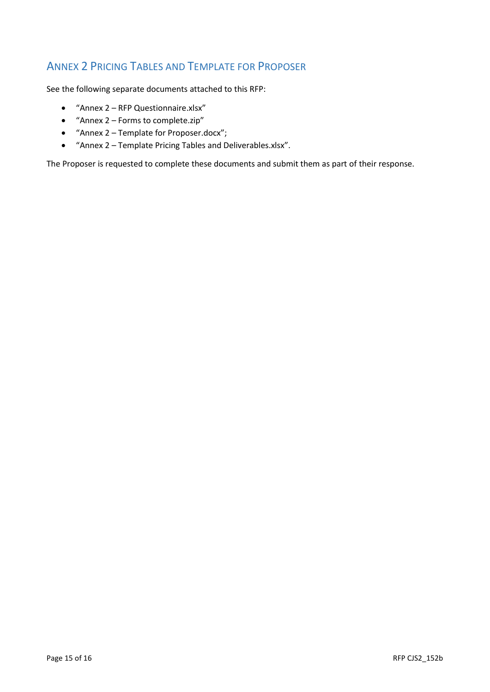## <span id="page-14-0"></span>ANNEX 2 PRICING TABLES AND TEMPLATE FOR PROPOSER

See the following separate documents attached to this RFP:

- "Annex 2 RFP Questionnaire.xlsx"
- "Annex 2 Forms to complete.zip"
- "Annex 2 Template for Proposer.docx";
- "Annex 2 Template Pricing Tables and Deliverables.xlsx".

The Proposer is requested to complete these documents and submit them as part of their response.